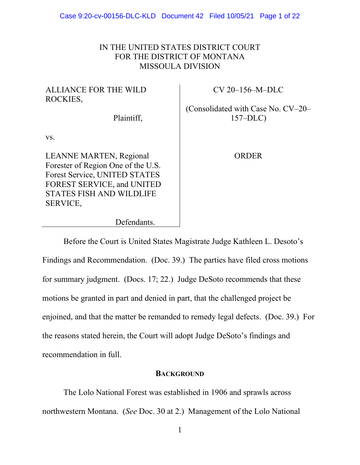### IN THE UNITED STATES DISTRICT COURT FOR THE DISTRICT OF MONTANA MISSOULA DIVISION

# ALLIANCE FOR THE WILD ROCKIES,

CV 20–156–M–DLC

(Consolidated with Case No. CV–20– 157–DLC)

Plaintiff,

Defendants.

vs.

LEANNE MARTEN, Regional Forester of Region One of the U.S. Forest Service, UNITED STATES FOREST SERVICE, and UNITED STATES FISH AND WILDLIFE SERVICE,

ORDER

Before the Court is United States Magistrate Judge Kathleen L. Desoto's Findings and Recommendation. (Doc. 39.) The parties have filed cross motions for summary judgment. (Docs. 17; 22.) Judge DeSoto recommends that these motions be granted in part and denied in part, that the challenged project be enjoined, and that the matter be remanded to remedy legal defects. (Doc. 39.) For the reasons stated herein, the Court will adopt Judge DeSoto's findings and recommendation in full.

### **BACKGROUND**

The Lolo National Forest was established in 1906 and sprawls across northwestern Montana. (*See* Doc. 30 at 2.) Management of the Lolo National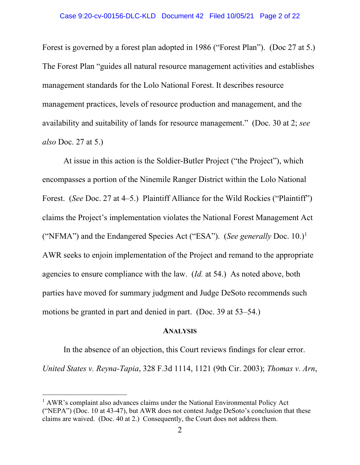### Case 9:20-cv-00156-DLC-KLD Document 42 Filed 10/05/21 Page 2 of 22

Forest is governed by a forest plan adopted in 1986 ("Forest Plan"). (Doc 27 at 5.) The Forest Plan "guides all natural resource management activities and establishes management standards for the Lolo National Forest. It describes resource management practices, levels of resource production and management, and the availability and suitability of lands for resource management." (Doc. 30 at 2; *see also* Doc. 27 at 5.)

At issue in this action is the Soldier-Butler Project ("the Project"), which encompasses a portion of the Ninemile Ranger District within the Lolo National Forest. (*See Doc. 27 at 4–5.*) Plaintiff Alliance for the Wild Rockies ("Plaintiff") claims the Project's implementation violates the National Forest Management Act ("NFMA") and the Endangered Species Act ("ESA"). (*See generally Doc.* 10.)<sup>1</sup> AWR seeks to enjoin implementation of the Project and remand to the appropriate agencies to ensure compliance with the law. (*Id.* at 54.) As noted above, both parties have moved for summary judgment and Judge DeSoto recommends such motions be granted in part and denied in part. (Doc. 39 at 53–54.)

#### **ANALYSIS**

In the absence of an objection, this Court reviews findings for clear error. *United States v. Reyna-Tapia*, 328 F.3d 1114, 1121 (9th Cir. 2003); *Thomas v. Arn*,

<sup>&</sup>lt;sup>1</sup> AWR's complaint also advances claims under the National Environmental Policy Act ("NEPA") (Doc. 10 at 43-47), but AWR does not contest Judge DeSoto's conclusion that these claims are waived. (Doc. 40 at 2.) Consequently, the Court does not address them.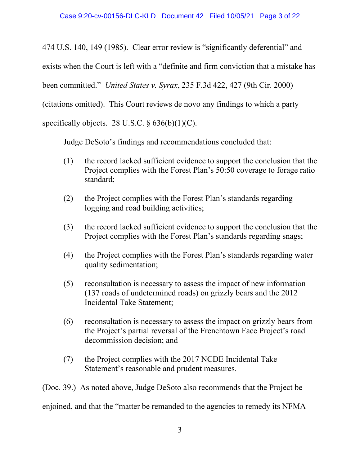474 U.S. 140, 149 (1985). Clear error review is "significantly deferential" and

exists when the Court is left with a "definite and firm conviction that a mistake has

been committed." *United States v. Syrax*, 235 F.3d 422, 427 (9th Cir. 2000)

(citations omitted). This Court reviews de novo any findings to which a party

specifically objects. 28 U.S.C.  $\S 636(b)(1)(C)$ .

Judge DeSoto's findings and recommendations concluded that:

- (1) the record lacked sufficient evidence to support the conclusion that the Project complies with the Forest Plan's 50:50 coverage to forage ratio standard;
- (2) the Project complies with the Forest Plan's standards regarding logging and road building activities;
- (3) the record lacked sufficient evidence to support the conclusion that the Project complies with the Forest Plan's standards regarding snags;
- (4) the Project complies with the Forest Plan's standards regarding water quality sedimentation;
- (5) reconsultation is necessary to assess the impact of new information (137 roads of undetermined roads) on grizzly bears and the 2012 Incidental Take Statement;
- (6) reconsultation is necessary to assess the impact on grizzly bears from the Project's partial reversal of the Frenchtown Face Project's road decommission decision; and
- (7) the Project complies with the 2017 NCDE Incidental Take Statement's reasonable and prudent measures.

(Doc. 39.) As noted above, Judge DeSoto also recommends that the Project be

enjoined, and that the "matter be remanded to the agencies to remedy its NFMA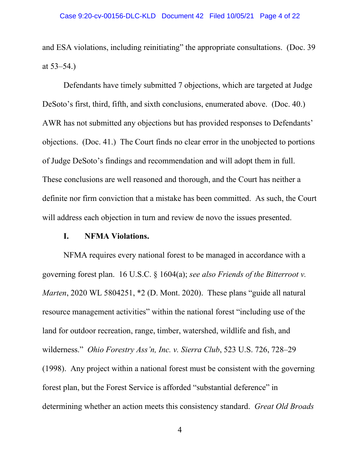and ESA violations, including reinitiating" the appropriate consultations. (Doc. 39 at 53–54.)

Defendants have timely submitted 7 objections, which are targeted at Judge DeSoto's first, third, fifth, and sixth conclusions, enumerated above. (Doc. 40.) AWR has not submitted any objections but has provided responses to Defendants' objections. (Doc. 41.) The Court finds no clear error in the unobjected to portions of Judge DeSoto's findings and recommendation and will adopt them in full. These conclusions are well reasoned and thorough, and the Court has neither a definite nor firm conviction that a mistake has been committed. As such, the Court will address each objection in turn and review de novo the issues presented.

### **I. NFMA Violations.**

NFMA requires every national forest to be managed in accordance with a governing forest plan. 16 U.S.C. § 1604(a); *see also Friends of the Bitterroot v. Marten*, 2020 WL 5804251, \*2 (D. Mont. 2020). These plans "guide all natural resource management activities" within the national forest "including use of the land for outdoor recreation, range, timber, watershed, wildlife and fish, and wilderness." *Ohio Forestry Ass'n, Inc. v. Sierra Club*, 523 U.S. 726, 728–29 (1998). Any project within a national forest must be consistent with the governing forest plan, but the Forest Service is afforded "substantial deference" in determining whether an action meets this consistency standard. *Great Old Broads*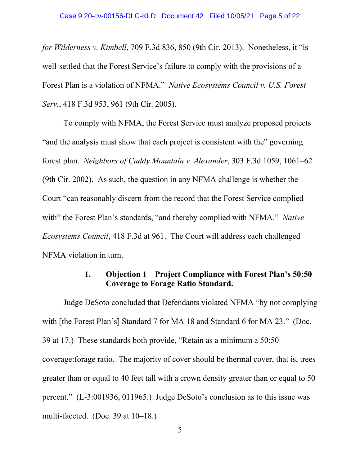*for Wilderness v. Kimbell*, 709 F.3d 836, 850 (9th Cir. 2013). Nonetheless, it "is well-settled that the Forest Service's failure to comply with the provisions of a Forest Plan is a violation of NFMA." *Native Ecosystems Council v. U.S. Forest Serv.*, 418 F.3d 953, 961 (9th Cir. 2005).

To comply with NFMA, the Forest Service must analyze proposed projects "and the analysis must show that each project is consistent with the" governing forest plan. *Neighbors of Cuddy Mountain v. Alexander*, 303 F.3d 1059, 1061–62 (9th Cir. 2002). As such, the question in any NFMA challenge is whether the Court "can reasonably discern from the record that the Forest Service complied with" the Forest Plan's standards, "and thereby complied with NFMA." *Native Ecosystems Council*, 418 F.3d at 961. The Court will address each challenged NFMA violation in turn.

## **1. Objection 1—Project Compliance with Forest Plan's 50:50 Coverage to Forage Ratio Standard.**

Judge DeSoto concluded that Defendants violated NFMA "by not complying with [the Forest Plan's] Standard 7 for MA 18 and Standard 6 for MA 23." (Doc. 39 at 17.) These standards both provide, "Retain as a minimum a 50:50 coverage:forage ratio. The majority of cover should be thermal cover, that is, trees greater than or equal to 40 feet tall with a crown density greater than or equal to 50 percent." (L-3:001936, 011965.) Judge DeSoto's conclusion as to this issue was multi-faceted. (Doc. 39 at  $10-18$ .)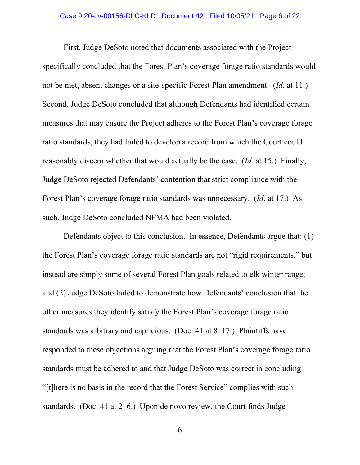First, Judge DeSoto noted that documents associated with the Project specifically concluded that the Forest Plan's coverage forage ratio standards would not be met, absent changes or a site-specific Forest Plan amendment. (*Id.* at 11.) Second, Judge DeSoto concluded that although Defendants had identified certain measures that may ensure the Project adheres to the Forest Plan's coverage forage ratio standards, they had failed to develop a record from which the Court could reasonably discern whether that would actually be the case. (*Id.* at 15.) Finally, Judge DeSoto rejected Defendants' contention that strict compliance with the Forest Plan's coverage forage ratio standards was unnecessary. (*Id*. at 17.) As such, Judge DeSoto concluded NFMA had been violated.

Defendants object to this conclusion. In essence, Defendants argue that: (1) the Forest Plan's coverage forage ratio standards are not "rigid requirements," but instead are simply some of several Forest Plan goals related to elk winter range; and (2) Judge DeSoto failed to demonstrate how Defendants' conclusion that the other measures they identify satisfy the Forest Plan's coverage forage ratio standards was arbitrary and capricious. (Doc. 41 at 8–17.) Plaintiffs have responded to these objections arguing that the Forest Plan's coverage forage ratio standards must be adhered to and that Judge DeSoto was correct in concluding "[t]here is no basis in the record that the Forest Service" complies with such standards. (Doc. 41 at 2–6.) Upon de novo review, the Court finds Judge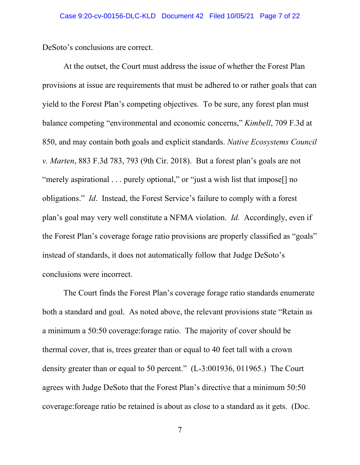DeSoto's conclusions are correct.

At the outset, the Court must address the issue of whether the Forest Plan provisions at issue are requirements that must be adhered to or rather goals that can yield to the Forest Plan's competing objectives. To be sure, any forest plan must balance competing "environmental and economic concerns," *Kimbell*, 709 F.3d at 850, and may contain both goals and explicit standards. *Native Ecosystems Council v. Marten*, 883 F.3d 783, 793 (9th Cir. 2018). But a forest plan's goals are not "merely aspirational . . . purely optional," or "just a wish list that impose<sup>[]</sup> no obligations." *Id*. Instead, the Forest Service's failure to comply with a forest plan's goal may very well constitute a NFMA violation. *Id.* Accordingly, even if the Forest Plan's coverage forage ratio provisions are properly classified as "goals" instead of standards, it does not automatically follow that Judge DeSoto's conclusions were incorrect.

The Court finds the Forest Plan's coverage forage ratio standards enumerate both a standard and goal. As noted above, the relevant provisions state "Retain as a minimum a 50:50 coverage:forage ratio. The majority of cover should be thermal cover, that is, trees greater than or equal to 40 feet tall with a crown density greater than or equal to 50 percent." (L-3:001936, 011965.) The Court agrees with Judge DeSoto that the Forest Plan's directive that a minimum 50:50 coverage:foreage ratio be retained is about as close to a standard as it gets. (Doc.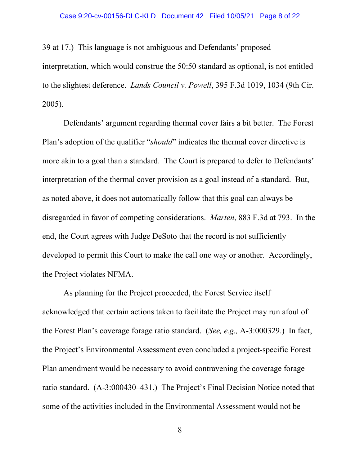### Case 9:20-cv-00156-DLC-KLD Document 42 Filed 10/05/21 Page 8 of 22

39 at 17.) This language is not ambiguous and Defendants' proposed interpretation, which would construe the 50:50 standard as optional, is not entitled to the slightest deference. *Lands Council v. Powell*, 395 F.3d 1019, 1034 (9th Cir. 2005).

Defendants' argument regarding thermal cover fairs a bit better. The Forest Plan's adoption of the qualifier "*should*" indicates the thermal cover directive is more akin to a goal than a standard. The Court is prepared to defer to Defendants' interpretation of the thermal cover provision as a goal instead of a standard. But, as noted above, it does not automatically follow that this goal can always be disregarded in favor of competing considerations. *Marten*, 883 F.3d at 793. In the end, the Court agrees with Judge DeSoto that the record is not sufficiently developed to permit this Court to make the call one way or another. Accordingly, the Project violates NFMA.

As planning for the Project proceeded, the Forest Service itself acknowledged that certain actions taken to facilitate the Project may run afoul of the Forest Plan's coverage forage ratio standard. (*See, e.g.,* A-3:000329.) In fact, the Project's Environmental Assessment even concluded a project-specific Forest Plan amendment would be necessary to avoid contravening the coverage forage ratio standard. (A-3:000430–431.) The Project's Final Decision Notice noted that some of the activities included in the Environmental Assessment would not be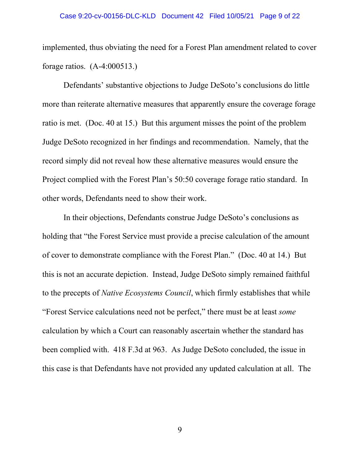### Case 9:20-cv-00156-DLC-KLD Document 42 Filed 10/05/21 Page 9 of 22

implemented, thus obviating the need for a Forest Plan amendment related to cover forage ratios. (A-4:000513.)

Defendants' substantive objections to Judge DeSoto's conclusions do little more than reiterate alternative measures that apparently ensure the coverage forage ratio is met. (Doc. 40 at 15.) But this argument misses the point of the problem Judge DeSoto recognized in her findings and recommendation. Namely, that the record simply did not reveal how these alternative measures would ensure the Project complied with the Forest Plan's 50:50 coverage forage ratio standard. In other words, Defendants need to show their work.

In their objections, Defendants construe Judge DeSoto's conclusions as holding that "the Forest Service must provide a precise calculation of the amount of cover to demonstrate compliance with the Forest Plan." (Doc. 40 at 14.) But this is not an accurate depiction. Instead, Judge DeSoto simply remained faithful to the precepts of *Native Ecosystems Council*, which firmly establishes that while "Forest Service calculations need not be perfect," there must be at least *some*  calculation by which a Court can reasonably ascertain whether the standard has been complied with. 418 F.3d at 963. As Judge DeSoto concluded, the issue in this case is that Defendants have not provided any updated calculation at all. The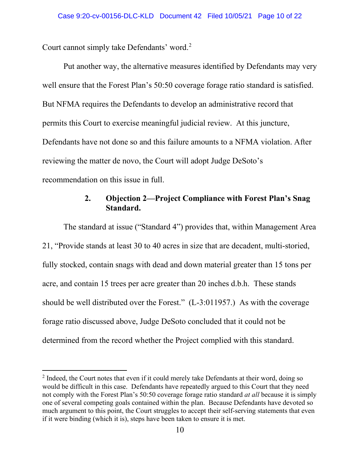Court cannot simply take Defendants' word.<sup>2</sup>

Put another way, the alternative measures identified by Defendants may very well ensure that the Forest Plan's 50:50 coverage forage ratio standard is satisfied. But NFMA requires the Defendants to develop an administrative record that permits this Court to exercise meaningful judicial review. At this juncture, Defendants have not done so and this failure amounts to a NFMA violation. After reviewing the matter de novo, the Court will adopt Judge DeSoto's recommendation on this issue in full.

## **2. Objection 2—Project Compliance with Forest Plan's Snag Standard.**

The standard at issue ("Standard 4") provides that, within Management Area 21, "Provide stands at least 30 to 40 acres in size that are decadent, multi-storied, fully stocked, contain snags with dead and down material greater than 15 tons per acre, and contain 15 trees per acre greater than 20 inches d.b.h. These stands should be well distributed over the Forest." (L-3:011957.) As with the coverage forage ratio discussed above, Judge DeSoto concluded that it could not be determined from the record whether the Project complied with this standard.

<sup>&</sup>lt;sup>2</sup> Indeed, the Court notes that even if it could merely take Defendants at their word, doing so would be difficult in this case. Defendants have repeatedly argued to this Court that they need not comply with the Forest Plan's 50:50 coverage forage ratio standard *at all* because it is simply one of several competing goals contained within the plan. Because Defendants have devoted so much argument to this point, the Court struggles to accept their self-serving statements that even if it were binding (which it is), steps have been taken to ensure it is met.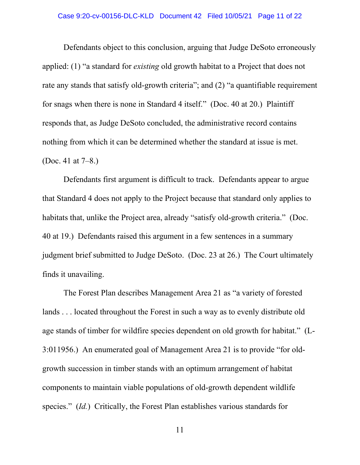### Case 9:20-cv-00156-DLC-KLD Document 42 Filed 10/05/21 Page 11 of 22

Defendants object to this conclusion, arguing that Judge DeSoto erroneously applied: (1) "a standard for *existing* old growth habitat to a Project that does not rate any stands that satisfy old-growth criteria"; and (2) "a quantifiable requirement for snags when there is none in Standard 4 itself." (Doc. 40 at 20.) Plaintiff responds that, as Judge DeSoto concluded, the administrative record contains nothing from which it can be determined whether the standard at issue is met. (Doc. 41 at 7–8.)

Defendants first argument is difficult to track. Defendants appear to argue that Standard 4 does not apply to the Project because that standard only applies to habitats that, unlike the Project area, already "satisfy old-growth criteria." (Doc. 40 at 19.) Defendants raised this argument in a few sentences in a summary judgment brief submitted to Judge DeSoto. (Doc. 23 at 26.) The Court ultimately finds it unavailing.

The Forest Plan describes Management Area 21 as "a variety of forested lands . . . located throughout the Forest in such a way as to evenly distribute old age stands of timber for wildfire species dependent on old growth for habitat." (L-3:011956.) An enumerated goal of Management Area 21 is to provide "for oldgrowth succession in timber stands with an optimum arrangement of habitat components to maintain viable populations of old-growth dependent wildlife species." (*Id.*) Critically, the Forest Plan establishes various standards for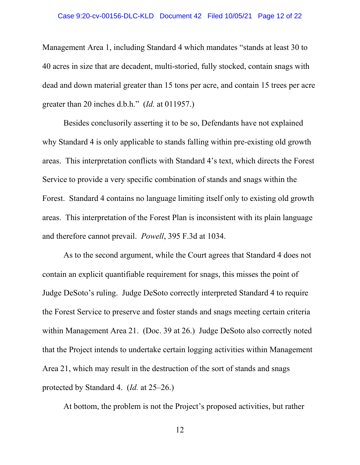### Case 9:20-cv-00156-DLC-KLD Document 42 Filed 10/05/21 Page 12 of 22

Management Area 1, including Standard 4 which mandates "stands at least 30 to 40 acres in size that are decadent, multi-storied, fully stocked, contain snags with dead and down material greater than 15 tons per acre, and contain 15 trees per acre greater than 20 inches d.b.h." (*Id.* at 011957.)

Besides conclusorily asserting it to be so, Defendants have not explained why Standard 4 is only applicable to stands falling within pre-existing old growth areas. This interpretation conflicts with Standard 4's text, which directs the Forest Service to provide a very specific combination of stands and snags within the Forest. Standard 4 contains no language limiting itself only to existing old growth areas. This interpretation of the Forest Plan is inconsistent with its plain language and therefore cannot prevail. *Powell*, 395 F.3d at 1034.

As to the second argument, while the Court agrees that Standard 4 does not contain an explicit quantifiable requirement for snags, this misses the point of Judge DeSoto's ruling. Judge DeSoto correctly interpreted Standard 4 to require the Forest Service to preserve and foster stands and snags meeting certain criteria within Management Area 21. (Doc. 39 at 26.) Judge DeSoto also correctly noted that the Project intends to undertake certain logging activities within Management Area 21, which may result in the destruction of the sort of stands and snags protected by Standard 4. (*Id.* at 25–26.)

At bottom, the problem is not the Project's proposed activities, but rather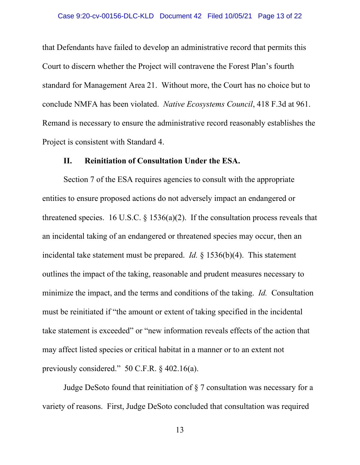that Defendants have failed to develop an administrative record that permits this Court to discern whether the Project will contravene the Forest Plan's fourth standard for Management Area 21. Without more, the Court has no choice but to conclude NMFA has been violated. *Native Ecosystems Council*, 418 F.3d at 961. Remand is necessary to ensure the administrative record reasonably establishes the Project is consistent with Standard 4.

### **II. Reinitiation of Consultation Under the ESA.**

Section 7 of the ESA requires agencies to consult with the appropriate entities to ensure proposed actions do not adversely impact an endangered or threatened species. 16 U.S.C.  $\S$  1536(a)(2). If the consultation process reveals that an incidental taking of an endangered or threatened species may occur, then an incidental take statement must be prepared. *Id.* § 1536(b)(4). This statement outlines the impact of the taking, reasonable and prudent measures necessary to minimize the impact, and the terms and conditions of the taking. *Id.* Consultation must be reinitiated if "the amount or extent of taking specified in the incidental take statement is exceeded" or "new information reveals effects of the action that may affect listed species or critical habitat in a manner or to an extent not previously considered." 50 C.F.R. § 402.16(a).

Judge DeSoto found that reinitiation of § 7 consultation was necessary for a variety of reasons. First, Judge DeSoto concluded that consultation was required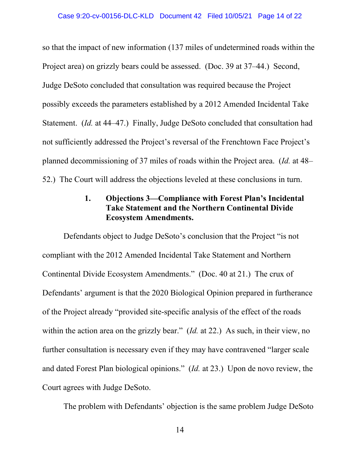so that the impact of new information (137 miles of undetermined roads within the Project area) on grizzly bears could be assessed. (Doc. 39 at 37–44.) Second, Judge DeSoto concluded that consultation was required because the Project possibly exceeds the parameters established by a 2012 Amended Incidental Take Statement. (*Id.* at 44–47.) Finally, Judge DeSoto concluded that consultation had not sufficiently addressed the Project's reversal of the Frenchtown Face Project's planned decommissioning of 37 miles of roads within the Project area. (*Id.* at 48– 52.) The Court will address the objections leveled at these conclusions in turn.

## **1. Objections 3—Compliance with Forest Plan's Incidental Take Statement and the Northern Continental Divide Ecosystem Amendments.**

Defendants object to Judge DeSoto's conclusion that the Project "is not compliant with the 2012 Amended Incidental Take Statement and Northern Continental Divide Ecosystem Amendments." (Doc. 40 at 21.) The crux of Defendants' argument is that the 2020 Biological Opinion prepared in furtherance of the Project already "provided site-specific analysis of the effect of the roads within the action area on the grizzly bear." (*Id.* at 22.) As such, in their view, no further consultation is necessary even if they may have contravened "larger scale and dated Forest Plan biological opinions." (*Id.* at 23.) Upon de novo review, the Court agrees with Judge DeSoto.

The problem with Defendants' objection is the same problem Judge DeSoto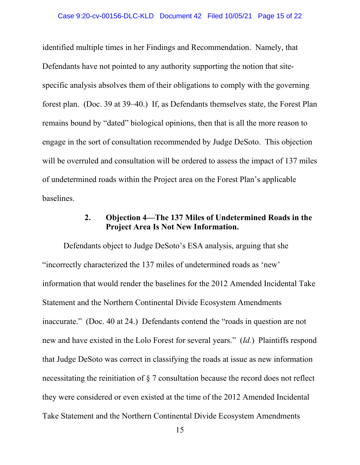### Case 9:20-cv-00156-DLC-KLD Document 42 Filed 10/05/21 Page 15 of 22

identified multiple times in her Findings and Recommendation. Namely, that Defendants have not pointed to any authority supporting the notion that sitespecific analysis absolves them of their obligations to comply with the governing forest plan. (Doc. 39 at 39–40.) If, as Defendants themselves state, the Forest Plan remains bound by "dated" biological opinions, then that is all the more reason to engage in the sort of consultation recommended by Judge DeSoto. This objection will be overruled and consultation will be ordered to assess the impact of 137 miles of undetermined roads within the Project area on the Forest Plan's applicable baselines.

## **2. Objection 4—The 137 Miles of Undetermined Roads in the Project Area Is Not New Information.**

Defendants object to Judge DeSoto's ESA analysis, arguing that she "incorrectly characterized the 137 miles of undetermined roads as 'new' information that would render the baselines for the 2012 Amended Incidental Take Statement and the Northern Continental Divide Ecosystem Amendments inaccurate." (Doc. 40 at 24.) Defendants contend the "roads in question are not new and have existed in the Lolo Forest for several years." (*Id.*) Plaintiffs respond that Judge DeSoto was correct in classifying the roads at issue as new information necessitating the reinitiation of § 7 consultation because the record does not reflect they were considered or even existed at the time of the 2012 Amended Incidental Take Statement and the Northern Continental Divide Ecosystem Amendments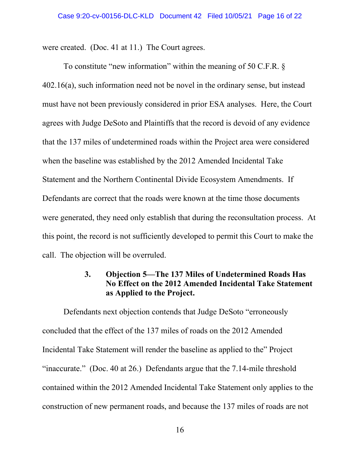were created. (Doc. 41 at 11.) The Court agrees.

To constitute "new information" within the meaning of 50 C.F.R. § 402.16(a), such information need not be novel in the ordinary sense, but instead must have not been previously considered in prior ESA analyses. Here, the Court agrees with Judge DeSoto and Plaintiffs that the record is devoid of any evidence that the 137 miles of undetermined roads within the Project area were considered when the baseline was established by the 2012 Amended Incidental Take Statement and the Northern Continental Divide Ecosystem Amendments. If Defendants are correct that the roads were known at the time those documents were generated, they need only establish that during the reconsultation process. At this point, the record is not sufficiently developed to permit this Court to make the call. The objection will be overruled.

## **3. Objection 5—The 137 Miles of Undetermined Roads Has No Effect on the 2012 Amended Incidental Take Statement as Applied to the Project.**

Defendants next objection contends that Judge DeSoto "erroneously concluded that the effect of the 137 miles of roads on the 2012 Amended Incidental Take Statement will render the baseline as applied to the" Project "inaccurate." (Doc. 40 at 26.) Defendants argue that the 7.14-mile threshold contained within the 2012 Amended Incidental Take Statement only applies to the construction of new permanent roads, and because the 137 miles of roads are not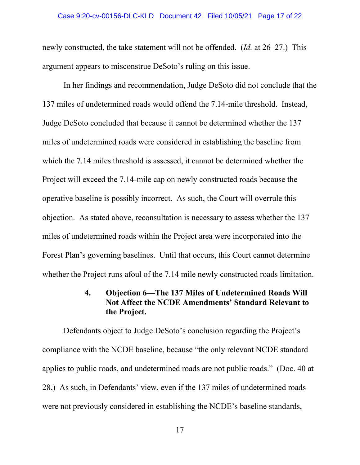### Case 9:20-cv-00156-DLC-KLD Document 42 Filed 10/05/21 Page 17 of 22

newly constructed, the take statement will not be offended. (*Id.* at 26–27.) This argument appears to misconstrue DeSoto's ruling on this issue.

In her findings and recommendation, Judge DeSoto did not conclude that the 137 miles of undetermined roads would offend the 7.14-mile threshold. Instead, Judge DeSoto concluded that because it cannot be determined whether the 137 miles of undetermined roads were considered in establishing the baseline from which the 7.14 miles threshold is assessed, it cannot be determined whether the Project will exceed the 7.14-mile cap on newly constructed roads because the operative baseline is possibly incorrect. As such, the Court will overrule this objection. As stated above, reconsultation is necessary to assess whether the 137 miles of undetermined roads within the Project area were incorporated into the Forest Plan's governing baselines. Until that occurs, this Court cannot determine whether the Project runs afoul of the 7.14 mile newly constructed roads limitation.

### **4. Objection 6—The 137 Miles of Undetermined Roads Will Not Affect the NCDE Amendments' Standard Relevant to the Project.**

Defendants object to Judge DeSoto's conclusion regarding the Project's compliance with the NCDE baseline, because "the only relevant NCDE standard applies to public roads, and undetermined roads are not public roads." (Doc. 40 at 28.) As such, in Defendants' view, even if the 137 miles of undetermined roads were not previously considered in establishing the NCDE's baseline standards,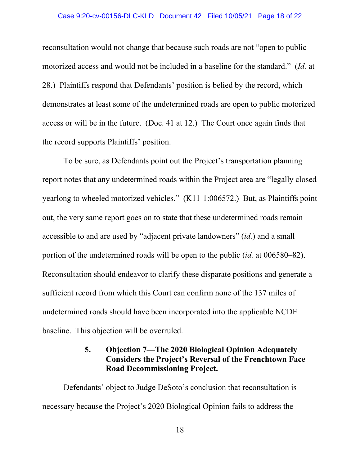### Case 9:20-cv-00156-DLC-KLD Document 42 Filed 10/05/21 Page 18 of 22

reconsultation would not change that because such roads are not "open to public motorized access and would not be included in a baseline for the standard." (*Id.* at 28.) Plaintiffs respond that Defendants' position is belied by the record, which demonstrates at least some of the undetermined roads are open to public motorized access or will be in the future. (Doc. 41 at 12.) The Court once again finds that the record supports Plaintiffs' position.

To be sure, as Defendants point out the Project's transportation planning report notes that any undetermined roads within the Project area are "legally closed yearlong to wheeled motorized vehicles." (K11-1:006572.) But, as Plaintiffs point out, the very same report goes on to state that these undetermined roads remain accessible to and are used by "adjacent private landowners" (*id.*) and a small portion of the undetermined roads will be open to the public (*id.* at 006580–82). Reconsultation should endeavor to clarify these disparate positions and generate a sufficient record from which this Court can confirm none of the 137 miles of undetermined roads should have been incorporated into the applicable NCDE baseline. This objection will be overruled.

## **5. Objection 7—The 2020 Biological Opinion Adequately Considers the Project's Reversal of the Frenchtown Face Road Decommissioning Project.**

Defendants' object to Judge DeSoto's conclusion that reconsultation is necessary because the Project's 2020 Biological Opinion fails to address the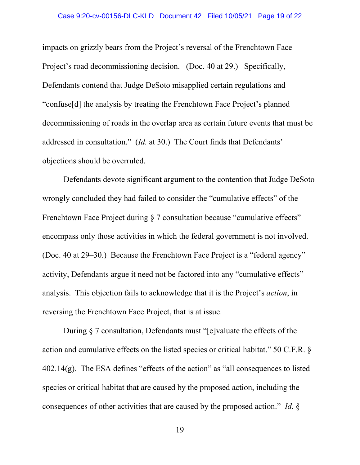### Case 9:20-cv-00156-DLC-KLD Document 42 Filed 10/05/21 Page 19 of 22

impacts on grizzly bears from the Project's reversal of the Frenchtown Face Project's road decommissioning decision. (Doc. 40 at 29.) Specifically, Defendants contend that Judge DeSoto misapplied certain regulations and "confuse[d] the analysis by treating the Frenchtown Face Project's planned decommissioning of roads in the overlap area as certain future events that must be addressed in consultation." (*Id.* at 30.) The Court finds that Defendants' objections should be overruled.

Defendants devote significant argument to the contention that Judge DeSoto wrongly concluded they had failed to consider the "cumulative effects" of the Frenchtown Face Project during § 7 consultation because "cumulative effects" encompass only those activities in which the federal government is not involved. (Doc. 40 at 29–30.) Because the Frenchtown Face Project is a "federal agency" activity, Defendants argue it need not be factored into any "cumulative effects" analysis. This objection fails to acknowledge that it is the Project's *action*, in reversing the Frenchtown Face Project, that is at issue.

During § 7 consultation, Defendants must "[e]valuate the effects of the action and cumulative effects on the listed species or critical habitat." 50 C.F.R. §  $402.14(g)$ . The ESA defines "effects of the action" as "all consequences to listed species or critical habitat that are caused by the proposed action, including the consequences of other activities that are caused by the proposed action." *Id.* §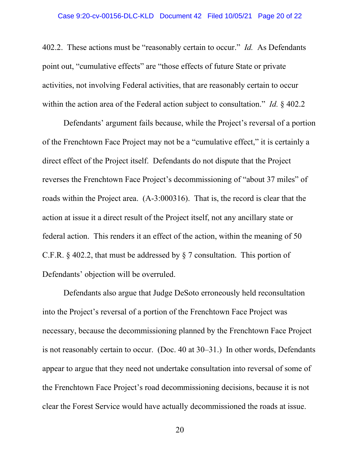402.2. These actions must be "reasonably certain to occur." *Id.* As Defendants point out, "cumulative effects" are "those effects of future State or private activities, not involving Federal activities, that are reasonably certain to occur within the action area of the Federal action subject to consultation." *Id.* § 402.2

Defendants' argument fails because, while the Project's reversal of a portion of the Frenchtown Face Project may not be a "cumulative effect," it is certainly a direct effect of the Project itself. Defendants do not dispute that the Project reverses the Frenchtown Face Project's decommissioning of "about 37 miles" of roads within the Project area. (A-3:000316). That is, the record is clear that the action at issue it a direct result of the Project itself, not any ancillary state or federal action. This renders it an effect of the action, within the meaning of 50 C.F.R. § 402.2, that must be addressed by § 7 consultation. This portion of Defendants' objection will be overruled.

Defendants also argue that Judge DeSoto erroneously held reconsultation into the Project's reversal of a portion of the Frenchtown Face Project was necessary, because the decommissioning planned by the Frenchtown Face Project is not reasonably certain to occur. (Doc. 40 at 30–31.) In other words, Defendants appear to argue that they need not undertake consultation into reversal of some of the Frenchtown Face Project's road decommissioning decisions, because it is not clear the Forest Service would have actually decommissioned the roads at issue.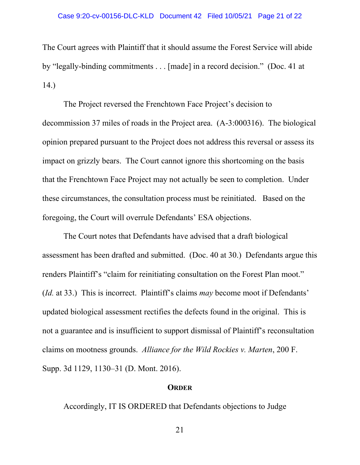### Case 9:20-cv-00156-DLC-KLD Document 42 Filed 10/05/21 Page 21 of 22

The Court agrees with Plaintiff that it should assume the Forest Service will abide by "legally-binding commitments . . . [made] in a record decision." (Doc. 41 at 14.)

The Project reversed the Frenchtown Face Project's decision to decommission 37 miles of roads in the Project area. (A-3:000316). The biological opinion prepared pursuant to the Project does not address this reversal or assess its impact on grizzly bears. The Court cannot ignore this shortcoming on the basis that the Frenchtown Face Project may not actually be seen to completion. Under these circumstances, the consultation process must be reinitiated. Based on the foregoing, the Court will overrule Defendants' ESA objections.

The Court notes that Defendants have advised that a draft biological assessment has been drafted and submitted. (Doc. 40 at 30.) Defendants argue this renders Plaintiff's "claim for reinitiating consultation on the Forest Plan moot." (*Id.* at 33.) This is incorrect. Plaintiff's claims *may* become moot if Defendants' updated biological assessment rectifies the defects found in the original. This is not a guarantee and is insufficient to support dismissal of Plaintiff's reconsultation claims on mootness grounds. *Alliance for the Wild Rockies v. Marten*, 200 F. Supp. 3d 1129, 1130–31 (D. Mont. 2016).

### **ORDER**

Accordingly, IT IS ORDERED that Defendants objections to Judge